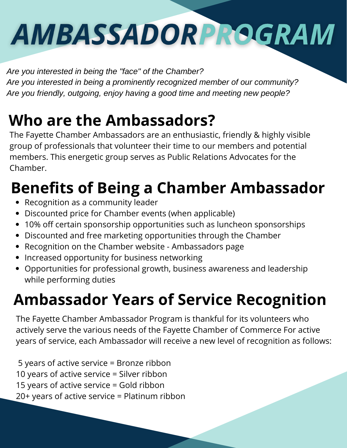# AMBASSADORPROGRAM

*Are you interested in being the "face" of the Chamber? Are you interested in being a prominently recognized member of our community? Are you friendly, outgoing, enjoy having a good time and meeting new people?*

#### **Who are the Ambassadors?**

The Fayette Chamber Ambassadors are an enthusiastic, friendly & highly visible group of professionals that volunteer their time to our members and potential members. This energetic group serves as Public Relations Advocates for the Chamber.

### **Benefits of Being a Chamber Ambassador**

- Recognition as a community leader
- Discounted price for Chamber events (when applicable)  $\bullet$
- 10% off certain sponsorship opportunities such as luncheon sponsorships
- Discounted and free marketing opportunities through the Chamber
- Recognition on the Chamber website Ambassadors page
- Increased opportunity for business networking
- Opportunities for professional growth, business awareness and leadership while performing duties

#### **Ambassador Years of Service Recognition**

The Fayette Chamber Ambassador Program is thankful for its volunteers who actively serve the various needs of the Fayette Chamber of Commerce For active years of service, each Ambassador will receive a new level of recognition as follows:

 years of active service = Bronze ribbon years of active service = Silver ribbon years of active service = Gold ribbon 20+ years of active service = Platinum ribbon